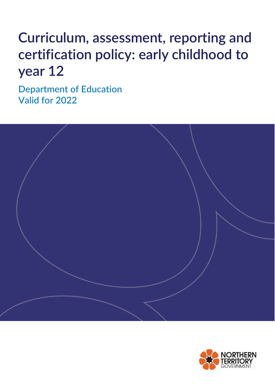# **Curriculum, assessment, reporting and certification policy: early childhood to year 12**

**Department of Education Valid for 2022**



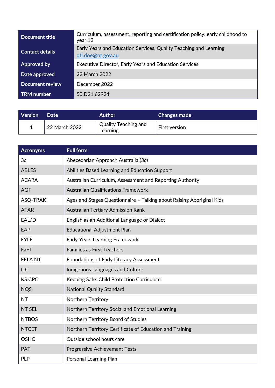| <b>Document title</b>  | Curriculum, assessment, reporting and certification policy: early childhood to<br>year 12 |  |  |
|------------------------|-------------------------------------------------------------------------------------------|--|--|
| <b>Contact details</b> | Early Years and Education Services, Quality Teaching and Learning<br>qtl.doe@nt.gov.au    |  |  |
| Approved by            | <b>Executive Director, Early Years and Education Services</b>                             |  |  |
| Date approved          | 22 March 2022                                                                             |  |  |
| Document review        | December 2022                                                                             |  |  |
| <b>TRM</b> number      | 50: D21:62924                                                                             |  |  |

| <b>Version</b> | <b>Date</b>   | <b>Author</b>                           | <b>Changes made</b> |
|----------------|---------------|-----------------------------------------|---------------------|
|                | 22 March 2022 | <b>Quality Teaching and</b><br>Learning | First version       |

| <b>Acronyms</b> | <b>Full form</b>                                                      |  |  |
|-----------------|-----------------------------------------------------------------------|--|--|
| 3a              | Abecedarian Approach Australia (3a)                                   |  |  |
| <b>ABLES</b>    | Abilities Based Learning and Education Support                        |  |  |
| <b>ACARA</b>    | Australian Curriculum, Assessment and Reporting Authority             |  |  |
| <b>AQF</b>      | <b>Australian Qualifications Framework</b>                            |  |  |
| ASQ-TRAK        | Ages and Stages Questionnaire - Talking about Raising Aboriginal Kids |  |  |
| <b>ATAR</b>     | <b>Australian Tertiary Admission Rank</b>                             |  |  |
| EAL/D           | English as an Additional Language or Dialect                          |  |  |
| EAP             | <b>Educational Adjustment Plan</b>                                    |  |  |
| <b>EYLF</b>     | Early Years Learning Framework                                        |  |  |
| FaFT            | <b>Families as First Teachers</b>                                     |  |  |
| <b>FELANT</b>   | Foundations of Early Literacy Assessment                              |  |  |
| <b>ILC</b>      | Indigenous Languages and Culture                                      |  |  |
| <b>KS:CPC</b>   | Keeping Safe: Child Protection Curriculum                             |  |  |
| <b>NQS</b>      | <b>National Quality Standard</b>                                      |  |  |
| <b>NT</b>       | Northern Territory                                                    |  |  |
| <b>NT SEL</b>   | Northern Territory Social and Emotional Learning                      |  |  |
| <b>NTBOS</b>    | Northern Territory Board of Studies                                   |  |  |
| <b>NTCET</b>    | Northern Territory Certificate of Education and Training              |  |  |
| <b>OSHC</b>     | Outside school hours care                                             |  |  |
| <b>PAT</b>      | <b>Progressive Achievement Tests</b>                                  |  |  |
| <b>PLP</b>      | Personal Learning Plan                                                |  |  |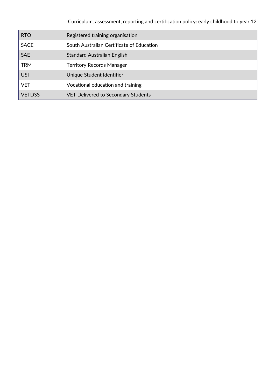| <b>RTO</b>    | Registered training organisation           |  |  |
|---------------|--------------------------------------------|--|--|
| <b>SACE</b>   | South Australian Certificate of Education  |  |  |
| <b>SAE</b>    | <b>Standard Australian English</b>         |  |  |
| <b>TRM</b>    | <b>Territory Records Manager</b>           |  |  |
| <b>USI</b>    | Unique Student Identifier                  |  |  |
| <b>VET</b>    | Vocational education and training          |  |  |
| <b>VETDSS</b> | <b>VET Delivered to Secondary Students</b> |  |  |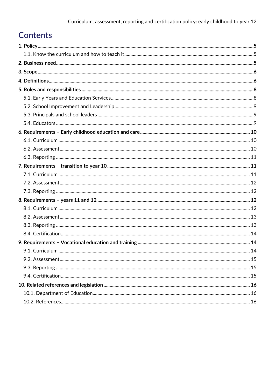# **Contents**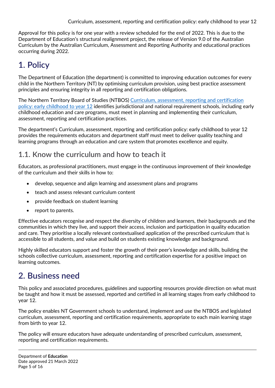Approval for this policy is for one year with a review scheduled for the end of 2022. This is due to the Department of Education's structural realignment project, the release of Version 9.0 of the Australian Curriculum by the Australian Curriculum, Assessment and Reporting Authority and educational practices occurring during 2022.

# <span id="page-4-0"></span>**1. Policy**

The Department of Education (the department) is committed to improving education outcomes for every child in the Northern Territory (NT) by optimising curriculum provision, using best practice assessment principles and ensuring integrity in all reporting and certification obligations.

The Northern Territory Board of Studies (NTBOS) [Curriculum, assessment, reporting and certification](https://education.nt.gov.au/committees,-regulators-and-advisory-groups/northern-territory-board-of-studies/ntbos-policies-and-guidelines)  policy: [early childhood to year 12](https://education.nt.gov.au/committees,-regulators-and-advisory-groups/northern-territory-board-of-studies/ntbos-policies-and-guidelines) identifies jurisdictional and national requirement schools, including early childhood education and care programs, must meet in planning and implementing their curriculum, assessment, reporting and certification practices.

The department's Curriculum, assessment, reporting and certification policy: early childhood to year 12 provides the requirements educators and department staff must meet to deliver quality teaching and learning programs through an education and care system that promotes excellence and equity.

## <span id="page-4-1"></span>**1.1. Know the curriculum and how to teach it**

Educators, as professional practitioners, must engage in the continuous improvement of their knowledge of the curriculum and their skills in how to:

- develop, sequence and align learning and assessment plans and programs
- teach and assess relevant curriculum content
- provide feedback on student learning
- report to parents.

Effective educators recognise and respect the diversity of children and learners, their backgrounds and the communities in which they live, and support their access, inclusion and participation in quality education and care. They prioritise a locally relevant contextualised application of the prescribed curriculum that is accessible to all students, and value and build on students existing knowledge and background.

Highly skilled educators support and foster the growth of their peer's knowledge and skills, building the schools collective curriculum, assessment, reporting and certification expertise for a positive impact on learning outcomes.

## <span id="page-4-2"></span>**2. Business need**

This policy and associated procedures, guidelines and supporting resources provide direction on what must be taught and how it must be assessed, reported and certified in all learning stages from early childhood to year 12.

The policy enables NT Government schools to understand, implement and use the NTBOS and legislated curriculum, assessment, reporting and certification requirements, appropriate to each main learning stage from birth to year 12.

The policy will ensure educators have adequate understanding of prescribed curriculum, assessment, reporting and certification requirements.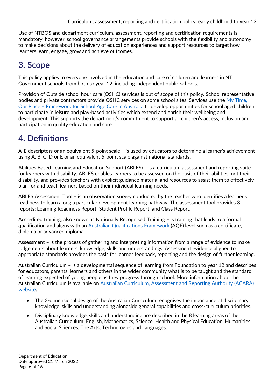Use of NTBOS and department curriculum, assessment, reporting and certification requirements is mandatory, however, school governance arrangements provide schools with the flexibility and autonomy to make decisions about the delivery of education experiences and support resources to target how learners learn, engage, grow and achieve outcomes.

# <span id="page-5-0"></span>**3. Scope**

This policy applies to everyone involved in the education and care of children and learners in NT Government schools from birth to year 12, including independent public schools.

Provision of Outside school hour care (OSHC) services is out of scope of this policy. School representative bodies and private contractors provide OSHC services on some school sites. Services use the [My Time,](https://www.dese.gov.au/national-quality-framework-early-childhood-education-and-care-0/mytimeourplace)  Our Place – [Framework for School Age Care in Australia](https://www.dese.gov.au/national-quality-framework-early-childhood-education-and-care-0/mytimeourplace) to develop opportunities for school aged children to participate in leisure and play-based activities which extend and enrich their wellbeing and development. This supports the department's commitment to support all children's access, inclusion and participation in quality education and care.

# <span id="page-5-1"></span>**4. Definitions**

A-E descriptors or an equivalent 5-point scale – is used by educators to determine a learner's achievement using A, B, C, D or E or an equivalent 5-point scale against national standards.

Abilities Based Learning and Education Support (ABLES) – is a curriculum assessment and reporting suite for learners with disability. ABLES enables learners to be assessed on the basis of their abilities, not their disability, and provides teachers with explicit guidance material and resources to assist them to effectively plan for and teach learners based on their individual learning needs.

ABLES Assessment Tool – is an observation survey conducted by the teacher who identifies a learner's readiness to learn along a particular development learning pathway. The assessment tool provides 3 reports: Learning Readiness Report; Student Profile Report; and Class Report.

Accredited training, also known as Nationally Recognised Training – is training that leads to a formal qualification and aligns with an [Australian Qualifications Framework](https://www.aqf.edu.au/) (AQF) level such as a certificate, diploma or advanced diploma.

Assessment – is the process of gathering and interpreting information from a range of evidence to make judgements about learners' knowledge, skills and understandings. Assessment evidence aligned to appropriate standards provides the basis for learner feedback, reporting and the design of further learning.

Australian Curriculum – is a developmental sequence of learning from Foundation to year 12 and describes for educators, parents, learners and others in the wider community what is to be taught and the standard of learning expected of young people as they progress through school. More information about the Australian Curriculum is available on [Australian Curriculum, Assessment and Reporting Authority \(ACARA\)](https://acara.edu.au/)  [website.](https://acara.edu.au/)

- The 3-dimensional design of the Australian Curriculum recognises the importance of disciplinary knowledge, skills and understanding alongside general capabilities and cross-curriculum priorities.
- Disciplinary knowledge, skills and understanding are described in the 8 learning areas of the Australian Curriculum: English, Mathematics, Science, Health and Physical Education, Humanities and Social Sciences, The Arts, Technologies and Languages.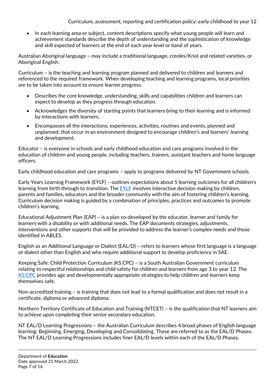Curriculum, assessment, reporting and certification policy: early childhood to year 12

• In each learning area or subject, content descriptions specify what young people will learn and achievement standards describe the depth of understanding and the sophistication of knowledge and skill expected of learners at the end of each year level or band of years.

Australian Aboriginal language – may include a traditional language, creoles/Kriol and related varieties, or Aboriginal English.

Curriculum – is the teaching and learning program planned and delivered to children and learners and referenced to the required framework. When developing teaching and learning programs, local priorities are to be taken into account to ensure learner progress.

- Describes the core knowledge, understanding, skills and capabilities children and learners can expect to develop as they progress through education.
- Acknowledges the diversity of starting points that learners bring to their learning and is informed by interactions with learners.
- Encompasses all the interactions, experiences, activities, routines and events, planned and unplanned, that occur in an environment designed to encourage children's and learners' learning and development.

Educator – is everyone in schools and early childhood education and care programs involved in the education of children and young people, including teachers, trainers, assistant teachers and home language officers.

Early childhood education and care programs – apply to programs delivered by NT Government schools.

Early Years Learning Framework (EYLF) – outlines expectations about 5 learning outcomes for all children's learning from birth through to transition. The [EYLF](https://www.dese.gov.au/national-quality-framework-early-childhood-education-and-care/resources/belonging-being-becoming-early-years-learning-framework-australia) involves interactive decision making by children, parents and families, educators and the broader community with the aim of fostering children's learning. Curriculum decision making is guided by a combination of principles, practices and outcomes to promote children's learning.

Educational Adjustment Plan (EAP) – is a plan co-developed by the educator, learner and family for learners with a disability or with additional needs. The EAP documents strategies, adjustments, interventions and other supports that will be provided to address the learner's complex needs and those identified in ABLES.

English as an Additional Language or Dialect (EAL/D) – refers to learners whose first language is a language or dialect other than English and who require additional support to develop proficiency in SAE.

Keeping Safe: Child Protection Curriculum (KS:CPC) – is a South Australian Government curriculum relating to respectful relationships and child safety for children and learners from age 3 to year 12. The [KS:CPC](https://www.education.sa.gov.au/schools-and-educators/curriculum-and-teaching/curriculum-programs/keeping-safe-child-protection-curriculum-information-educators#:~:text=%20Keeping%20Safe%3A%20Child%20Protection%20Curriculum%20information%20for,the%20full%20day%20face-to-face%20training%20before...%20More%20) provides age and developmentally appropriate strategies to help children and learners keep themselves safe.

Non-accredited training – is training that does not lead to a formal qualification and does not result in a certificate, diploma or advanced diploma.

Northern Territory Certificate of Education and Training (NTCET) – is the qualification that NT learners aim to achieve upon completing their senior secondary education.

NT EAL/D Learning Progressions – the Australian Curriculum describes 4 broad phases of English language learning: Beginning, Emerging, Developing and Consolidating. These are referred to as the EAL/D Phases. The NT EAL/D Learning Progressions includes finer EAL/D levels within each of the EAL/D Phases.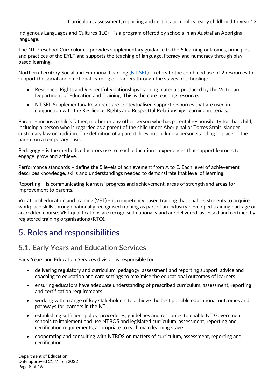Indigenous Languages and Cultures (ILC) – is a program offered by schools in an Australian Aboriginal language.

The NT Preschool Curriculum – provides supplementary guidance to the 5 learning outcomes, principles and practices of the EYLF and supports the teaching of language, literacy and numeracy through playbased learning.

Northern Territory Social and Emotional Learning [\(NT SEL\)](https://education.nt.gov.au/support-for-teachers/nt-social-and-emotional-learning) - refers to the combined use of 2 resources to support the social and emotional learning of learners through the stages of schooling:

- Resilience, Rights and Respectful Relationships learning materials produced by the Victorian Department of Education and Training. This is the core teaching resource.
- NT SEL Supplementary Resources are contextualised support resources that are used in conjunction with the Resilience, Rights and Respectful Relationships learning materials.

Parent – means a child's father, mother or any other person who has parental responsibility for that child, including a person who is regarded as a parent of the child under Aboriginal or Torres Strait Islander customary law or tradition. The definition of a parent does not include a person standing in place of the parent on a temporary basis.

Pedagogy – is the methods educators use to teach educational experiences that support learners to engage, grow and achieve.

Performance standards – define the 5 levels of achievement from A to E. Each level of achievement describes knowledge, skills and understandings needed to demonstrate that level of learning.

Reporting – is communicating learners' progress and achievement, areas of strength and areas for improvement to parents.

Vocational education and training (VET) – is competency based training that enables students to acquire workplace skills through nationally recognised training as part of an industry developed training package or accredited course. VET qualifications are recognised nationally and are delivered, assessed and certified by registered training organisations (RTO).

# <span id="page-7-0"></span>**5. Roles and responsibilities**

## <span id="page-7-1"></span>**5.1. Early Years and Education Services**

Early Years and Education Services division is responsible for:

- delivering regulatory and curriculum, pedagogy, assessment and reporting support, advice and coaching to education and care settings to maximise the educational outcomes of learners
- ensuring educators have adequate understanding of prescribed curriculum, assessment, reporting and certification requirements
- working with a range of key stakeholders to achieve the best possible educational outcomes and pathways for learners in the NT
- establishing sufficient policy, procedures, guidelines and resources to enable NT Government schools to implement and use NTBOS and legislated curriculum, assessment, reporting and certification requirements, appropriate to each main learning stage
- cooperating and consulting with NTBOS on matters of curriculum, assessment, reporting and certification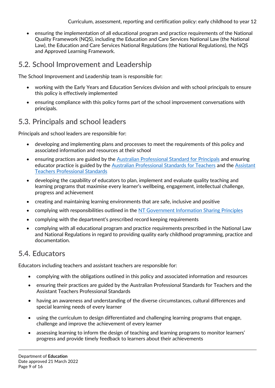Curriculum, assessment, reporting and certification policy: early childhood to year 12

 ensuring the implementation of all educational program and practice requirements of the National Quality Framework (NQS), including the Education and Care Services National Law (the National Law), the Education and Care Services National Regulations (the National Regulations), the NQS and Approved Learning Framework.

## <span id="page-8-0"></span>**5.2. School Improvement and Leadership**

The School Improvement and Leadership team is responsible for:

- working with the Early Years and Education Services division and with school principals to ensure this policy is effectively implemented
- ensuring compliance with this policy forms part of the school improvement conversations with principals.

## <span id="page-8-1"></span>**5.3. Principals and school leaders**

Principals and school leaders are responsible for:

- developing and implementing plans and processes to meet the requirements of this policy and associated information and resources at their school
- ensuring practices are guided by the [Australian Professional Standard for Principals](https://www.aitsl.edu.au/tools-resources/resource/australian-professional-standard-for-principals) and ensuring educator practice is guided by the [Australian Professional Standards for Teachers](https://www.aitsl.edu.au/teach/standards) and the [Assistant](https://www.transformingtraining.com.au/wp-content/uploads/sites/6/2015/06/BANNER_Assistant_Teacher_Professional_Standards_V1.pdf)  [Teachers Professional Standards](https://www.transformingtraining.com.au/wp-content/uploads/sites/6/2015/06/BANNER_Assistant_Teacher_Professional_Standards_V1.pdf)
- developing the capability of educators to plan, implement and evaluate quality teaching and learning programs that maximise every learner's wellbeing, engagement, intellectual challenge, progress and achievement
- creating and maintaining learning environments that are safe, inclusive and positive
- complying with responsibilities outlined in the [NT Government Information Sharing Principles](https://nt.gov.au/community/child-protection-and-care/sharing-information-to-protect-children)
- complying with the department's prescribed record keeping requirements
- complying with all educational program and practice requirements prescribed in the National Law and National Regulations in regard to providing quality early childhood programming, practice and documentation.

## <span id="page-8-2"></span>**5.4. Educators**

Educators including teachers and assistant teachers are responsible for:

- complying with the obligations outlined in this policy and associated information and resources
- ensuring their practices are guided by the Australian Professional Standards for Teachers and the Assistant Teachers Professional Standards
- having an awareness and understanding of the diverse circumstances, cultural differences and special learning needs of every learner
- using the curriculum to design differentiated and challenging learning programs that engage, challenge and improve the achievement of every learner
- assessing learning to inform the design of teaching and learning programs to monitor learners' progress and provide timely feedback to learners about their achievements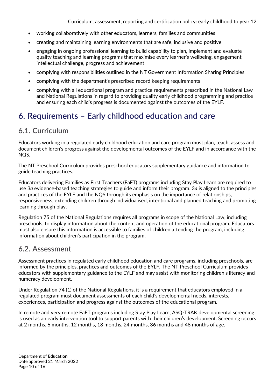- working collaboratively with other educators, learners, families and communities
- creating and maintaining learning environments that are safe, inclusive and positive
- engaging in ongoing professional learning to build capability to plan, implement and evaluate quality teaching and learning programs that maximise every learner's wellbeing, engagement, intellectual challenge, progress and achievement
- complying with responsibilities outlined in the NT Government Information Sharing Principles
- complying with the department's prescribed record keeping requirements
- complying with all educational program and practice requirements prescribed in the National Law and National Regulations in regard to providing quality early childhood programming and practice and ensuring each child's progress is documented against the outcomes of the EYLF.

## <span id="page-9-0"></span>**6. Requirements – Early childhood education and care**

#### <span id="page-9-1"></span>**6.1. Curriculum**

Educators working in a regulated early childhood education and care program must plan, teach, assess and document children's progress against the developmental outcomes of the EYLF and in accordance with the NQS.

The NT Preschool Curriculum provides preschool educators supplementary guidance and information to guide teaching practices.

Educators delivering Families as First Teachers (FaFT) programs including Stay Play Learn are required to use 3*a* evidence-based teaching strategies to guide and inform their program. 3*a* is aligned to the principles and practices of the EYLF and the NQS through its emphasis on the importance of relationships, responsiveness, extending children through individualised, intentional and planned teaching and promoting learning through play.

Regulation 75 of the National Regulations requires all programs in scope of the National Law, including preschools, to display information about the content and operation of the educational program. Educators must also ensure this information is accessible to families of children attending the program, including information about children's participation in the program.

#### <span id="page-9-2"></span>**6.2. Assessment**

Assessment practices in regulated early childhood education and care programs, including preschools, are informed by the principles, practices and outcomes of the EYLF. The NT Preschool Curriculum provides educators with supplementary guidance to the EYLF and may assist with monitoring children's literacy and numeracy development.

Under Regulation 74 (1) of the National Regulations, it is a requirement that educators employed in a regulated program must document assessments of each child's developmental needs, interests, experiences, participation and progress against the outcomes of the educational program.

In remote and very remote FaFT programs including Stay Play Learn, ASQ-TRAK developmental screening is used as an early intervention tool to support parents with their children's development. Screening occurs at 2 months, 6 months, 12 months, 18 months, 24 months, 36 months and 48 months of age.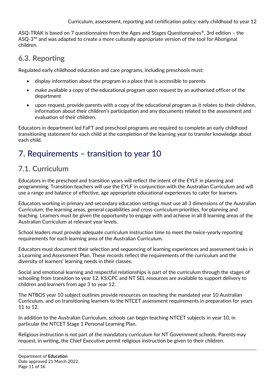ASQ-TRAK is based on 7 questionnaires from the Ages and Stages Questionnaires®, 3rd edition – the ASQ-3™ and was adapted to create a more culturally appropriate version of the tool for Aboriginal children.

## <span id="page-10-0"></span>**6.3. Reporting**

Regulated early childhood education and care programs, including preschools must:

- display information about the program in a place that is accessible to parents
- make available a copy of the educational program upon request by an authorised officer of the department
- upon request, provide parents with a copy of the educational program as it relates to their children, information about their children's participation and any documents related to the assessment and evaluation of their children.

Educators in department led FaFT and preschool programs are required to complete an early childhood transitioning statement for each child at the completion of the learning year to transfer knowledge about each child.

# <span id="page-10-1"></span>**7. Requirements – transition to year 10**

## <span id="page-10-2"></span>**7.1. Curriculum**

Educators in the preschool and transition years will reflect the intent of the EYLF in planning and programming. Transition teachers will use the EYLF in conjunction with the Australian Curriculum and will use a range and balance of effective, age appropriate educational experiences to cater for learners.

Educators working in primary and secondary education settings must use all 3 dimensions of the Australian Curriculum; the learning areas, general capabilities and cross-curriculum priorities, for planning and teaching. Learners must be given the opportunity to engage with and achieve in all 8 learning areas of the Australian Curriculum at relevant year levels.

School leaders must provide adequate curriculum instruction time to meet the twice-yearly reporting requirements for each learning area of the Australian Curriculum.

Educators must document their selection and sequencing of learning experiences and assessment tasks in a Learning and Assessment Plan. These records reflect the requirements of the curriculum and the diversity of learners' learning needs in their classes.

Social and emotional learning and respectful relationships is part of the curriculum through the stages of schooling from transition to year 12. KS:CPC and NT SEL resources are available to support delivery to children and learners from age 3 to year 12.

The NTBOS year 10 subject outlines provide resources on teaching the mandated year 10 Australian Curriculum, and on transitioning learners to the NTCET assessment requirements in preparation for years 11 to 12.

In addition to the Australian Curriculum, schools can begin teaching NTCET subjects in year 10, in particular the NTCET Stage 1 Personal Learning Plan.

Religious instruction is not part of the mandatory curriculum for NT Government schools. Parents may request, in writing, the Chief Executive permit religious instruction be given to their children.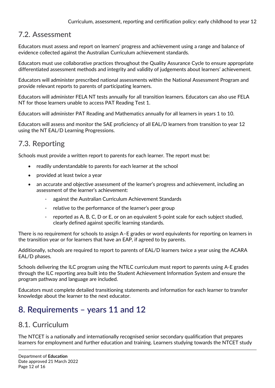## <span id="page-11-0"></span>**7.2. Assessment**

Educators must assess and report on learners' progress and achievement using a range and balance of evidence collected against the Australian Curriculum achievement standards.

Educators must use collaborative practices throughout the Quality Assurance Cycle to ensure appropriate differentiated assessment methods and integrity and validity of judgements about learners' achievement.

Educators will administer prescribed national assessments within the National Assessment Program and provide relevant reports to parents of participating learners.

Educators will administer FELA NT tests annually for all transition learners. Educators can also use FELA NT for those learners unable to access PAT Reading Test 1.

Educators will administer PAT Reading and Mathematics annually for all learners in years 1 to 10.

Educators will assess and monitor the SAE proficiency of all EAL/D learners from transition to year 12 using the NT EAL/D Learning Progressions.

## <span id="page-11-1"></span>**7.3. Reporting**

Schools must provide a written report to parents for each learner. The report must be:

- readily understandable to parents for each learner at the school
- provided at least twice a year
- an accurate and objective assessment of the learner's progress and achievement, including an assessment of the learner's achievement:
	- against the Australian Curriculum Achievement Standards
	- relative to the performance of the learner's peer group
	- reported as A, B, C, D or E, or on an equivalent 5-point scale for each subject studied, clearly defined against specific learning standards.

There is no requirement for schools to assign A–E grades or word equivalents for reporting on learners in the transition year or for learners that have an EAP, if agreed to by parents.

Additionally, schools are required to report to parents of EAL/D learners twice a year using the ACARA EAL/D phases.

Schools delivering the ILC program using the NTILC curriculum must report to parents using A-E grades through the ILC reporting area built into the Student Achievement Information System and ensure the program pathway and language are included.

Educators must complete detailed transitioning statements and information for each learner to transfer knowledge about the learner to the next educator.

## <span id="page-11-2"></span>**8. Requirements – years 11 and 12**

## <span id="page-11-3"></span>**8.1. Curriculum**

The NTCET is a nationally and internationally recognised senior secondary qualification that prepares learners for employment and further education and training. Learners studying towards the NTCET study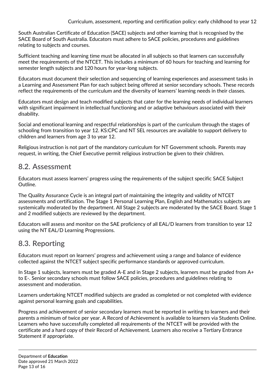South Australian Certificate of Education (SACE) subjects and other learning that is recognised by the SACE Board of South Australia. Educators must adhere to SACE policies, procedures and guidelines relating to subjects and courses.

Sufficient teaching and learning time must be allocated in all subjects so that learners can successfully meet the requirements of the NTCET. This includes a minimum of 60 hours for teaching and learning for semester length subjects and 120 hours for year-long subjects.

Educators must document their selection and sequencing of learning experiences and assessment tasks in a Learning and Assessment Plan for each subject being offered at senior secondary schools. These records reflect the requirements of the curriculum and the diversity of learners' learning needs in their classes.

Educators must design and teach modified subjects that cater for the learning needs of individual learners with significant impairment in intellectual functioning and or adaptive behaviours associated with their disability.

Social and emotional learning and respectful relationships is part of the curriculum through the stages of schooling from transition to year 12. KS:CPC and NT SEL resources are available to support delivery to children and learners from age 3 to year 12.

Religious instruction is not part of the mandatory curriculum for NT Government schools. Parents may request, in writing, the Chief Executive permit religious instruction be given to their children.

#### <span id="page-12-0"></span>**8.2. Assessment**

Educators must assess learners' progress using the requirements of the subject specific SACE Subject Outline.

The Quality Assurance Cycle is an integral part of maintaining the integrity and validity of NTCET assessments and certification. The Stage 1 Personal Learning Plan, English and Mathematics subjects are systemically moderated by the department. All Stage 2 subjects are moderated by the SACE Board. Stage 1 and 2 modified subjects are reviewed by the department.

Educators will assess and monitor on the SAE proficiency of all EAL/D learners from transition to year 12 using the NT EAL/D Learning Progressions.

## <span id="page-12-1"></span>**8.3. Reporting**

Educators must report on learners' progress and achievement using a range and balance of evidence collected against the NTCET subject specific performance standards or approved curriculum.

In Stage 1 subjects, learners must be graded A-E and in Stage 2 subjects, learners must be graded from A+ to E-. Senior secondary schools must follow SACE policies, procedures and guidelines relating to assessment and moderation.

Learners undertaking NTCET modified subjects are graded as completed or not completed with evidence against personal learning goals and capabilities.

Progress and achievement of senior secondary learners must be reported in writing to learners and their parents a minimum of twice per year. A Record of Achievement is available to learners via Students Online. Learners who have successfully completed all requirements of the NTCET will be provided with the certificate and a hard copy of their Record of Achievement. Learners also receive a Tertiary Entrance Statement if appropriate.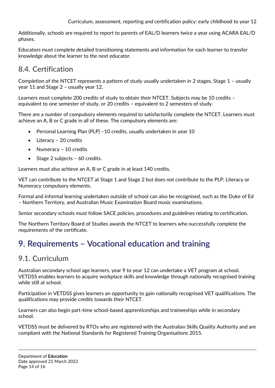Additionally, schools are required to report to parents of EAL/D learners twice a year using ACARA EAL/D phases.

Educators must complete detailed transitioning statements and information for each learner to transfer knowledge about the learner to the next educator.

## <span id="page-13-0"></span>**8.4. Certification**

Completion of the NTCET represents a pattern of study usually undertaken in 2 stages, Stage 1 – usually year 11 and Stage 2 – usually year 12.

Learners must complete 200 credits of study to obtain their NTCET. Subjects may be 10 credits – equivalent to one semester of study, or 20 credits – equivalent to 2 semesters of study.

There are a number of compulsory elements required to satisfactorily complete the NTCET. Learners must achieve an A, B or C grade in all of these. The compulsory elements are:

- Personal Learning Plan (PLP) –10 credits, usually undertaken in year 10
- Literacy 20 credits
- Numeracy 10 credits
- Stage 2 subjects 60 credits.

Learners must also achieve an A, B or C grade in at least 140 credits.

VET can contribute to the NTCET at Stage 1 and Stage 2 but does not contribute to the PLP, Literacy or Numeracy compulsory elements.

Formal and informal learning undertaken outside of school can also be recognised, such as the Duke of Ed – Northern Territory, and Australian Music Examination Board music examinations.

Senior secondary schools must follow SACE policies, procedures and guidelines relating to certification.

The Northern Territory Board of Studies awards the NTCET to learners who successfully complete the requirements of the certificate.

# <span id="page-13-1"></span>**9. Requirements – Vocational education and training**

## <span id="page-13-2"></span>**9.1. Curriculum**

Australian secondary school age learners, year 9 to year 12 can undertake a VET program at school. VETDSS enables learners to acquire workplace skills and knowledge through nationally recognised training while still at school.

Participation in VETDSS gives learners an opportunity to gain nationally recognised VET qualifications. The qualifications may provide credits towards their NTCET.

Learners can also begin part-time school-based apprenticeships and traineeships while in secondary school.

VETDSS must be delivered by RTOs who are registered with the Australian Skills Quality Authority and are compliant with the National Standards for Registered Training Organisations 2015.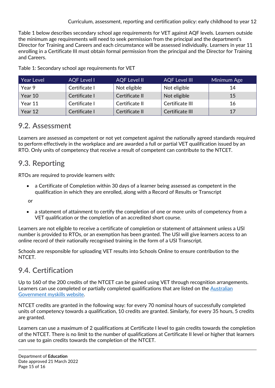Table 1 below describes secondary school age requirements for VET against AQF levels. Learners outside the minimum age requirements will need to seek permission from the principal and the department's Director for Training and Careers and each circumstance will be assessed individually. Learners in year 11 enrolling in a Certificate III must obtain formal permission from the principal and the Director for Training and Careers.

| <b>Year Level</b> | <b>AQF Level I</b> | <b>AQF Level II</b> | <b>AQF Level III</b> | Minimum Age |
|-------------------|--------------------|---------------------|----------------------|-------------|
| Year 9            | Certificate I      | Not eligible        | Not eligible         | 14          |
| Year 10           | Certificate I      | Certificate II      | Not eligible         | 15          |
| Year 11           | Certificate I      | Certificate II      | Certificate III      | 16          |
| Year 12           | Certificate I      | Certificate II      | Certificate III      | 17          |

Table 1: Secondary school age requirements for VET

#### <span id="page-14-0"></span>**9.2. Assessment**

Learners are assessed as competent or not yet competent against the nationally agreed standards required to perform effectively in the workplace and are awarded a full or partial VET qualification issued by an RTO. Only units of competency that receive a result of competent can contribute to the NTCET.

## <span id="page-14-1"></span>**9.3. Reporting**

RTOs are required to provide learners with:

 a Certificate of Completion within 30 days of a learner being assessed as competent in the qualification in which they are enrolled, along with a Record of Results or Transcript

or

 a statement of attainment to certify the completion of one or more units of competency from a VET qualification or the completion of an accredited short course.

Learners are not eligible to receive a certificate of completion or statement of attainment unless a USI number is provided to RTOs, or an exemption has been granted. The USI will give learners access to an online record of their nationally recognised training in the form of a USI Transcript.

Schools are responsible for uploading VET results into Schools Online to ensure contribution to the NTCET.

## <span id="page-14-2"></span>**9.4. Certification**

Up to 160 of the 200 credits of the NTCET can be gained using VET through recognition arrangements. Learners can use completed or partially completed qualifications that are listed on the [Australian](https://www.myskills.gov.au/)  [Government myskills website.](https://www.myskills.gov.au/)

NTCET credits are granted in the following way: for every 70 nominal hours of successfully completed units of competency towards a qualification, 10 credits are granted. Similarly, for every 35 hours, 5 credits are granted.

Learners can use a maximum of 2 qualifications at Certificate I level to gain credits towards the completion of the NTCET. There is no limit to the number of qualifications at Certificate II level or higher that learners can use to gain credits towards the completion of the NTCET.